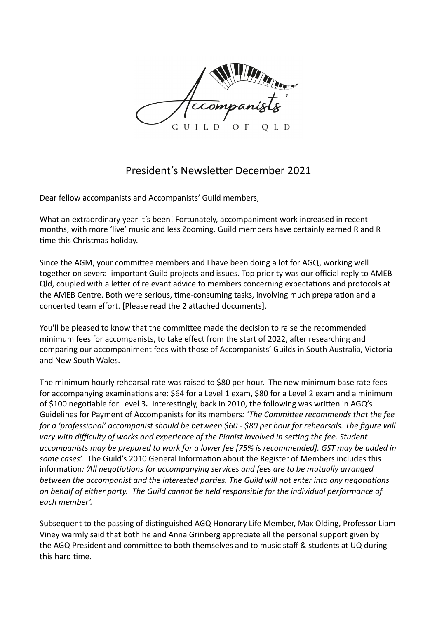

## President's Newsletter December 2021

Dear fellow accompanists and Accompanists' Guild members,

What an extraordinary year it's been! Fortunately, accompaniment work increased in recent months, with more 'live' music and less Zooming. Guild members have certainly earned R and R time this Christmas holiday.

Since the AGM, your committee members and I have been doing a lot for AGQ, working well together on several important Guild projects and issues. Top priority was our official reply to AMEB Qld, coupled with a letter of relevant advice to members concerning expectations and protocols at the AMEB Centre. Both were serious, time-consuming tasks, involving much preparation and a concerted team effort. [Please read the 2 attached documents].

You'll be pleased to know that the committee made the decision to raise the recommended minimum fees for accompanists, to take effect from the start of 2022, after researching and comparing our accompaniment fees with those of Accompanists' Guilds in South Australia, Victoria and New South Wales.

The minimum hourly rehearsal rate was raised to \$80 per hour. The new minimum base rate fees for accompanying examinations are: \$64 for a Level 1 exam, \$80 for a Level 2 exam and a minimum of \$100 negotiable for Level 3. Interestingly, back in 2010, the following was written in AGQ's Guidelines for Payment of Accompanists for its members: 'The Committee recommends that the fee for a 'professional' accompanist should be between \$60 - \$80 per hour for rehearsals. The figure will vary with difficulty of works and experience of the Pianist involved in setting the fee. Student accompanists may be prepared to work for a lower fee [75% is recommended]. GST may be added in some cases'. The Guild's 2010 General Information about the Register of Members includes this information: 'All negotiations for accompanying services and fees are to be mutually arranged *between the accompanist and the interested parties. The Guild will not enter into any negotiations* on behalf of either party. The Guild cannot be held responsible for the individual performance of *each member'.* 

Subsequent to the passing of distinguished AGQ Honorary Life Member, Max Olding, Professor Liam Viney warmly said that both he and Anna Grinberg appreciate all the personal support given by the AGQ President and committee to both themselves and to music staff & students at UQ during this hard time.